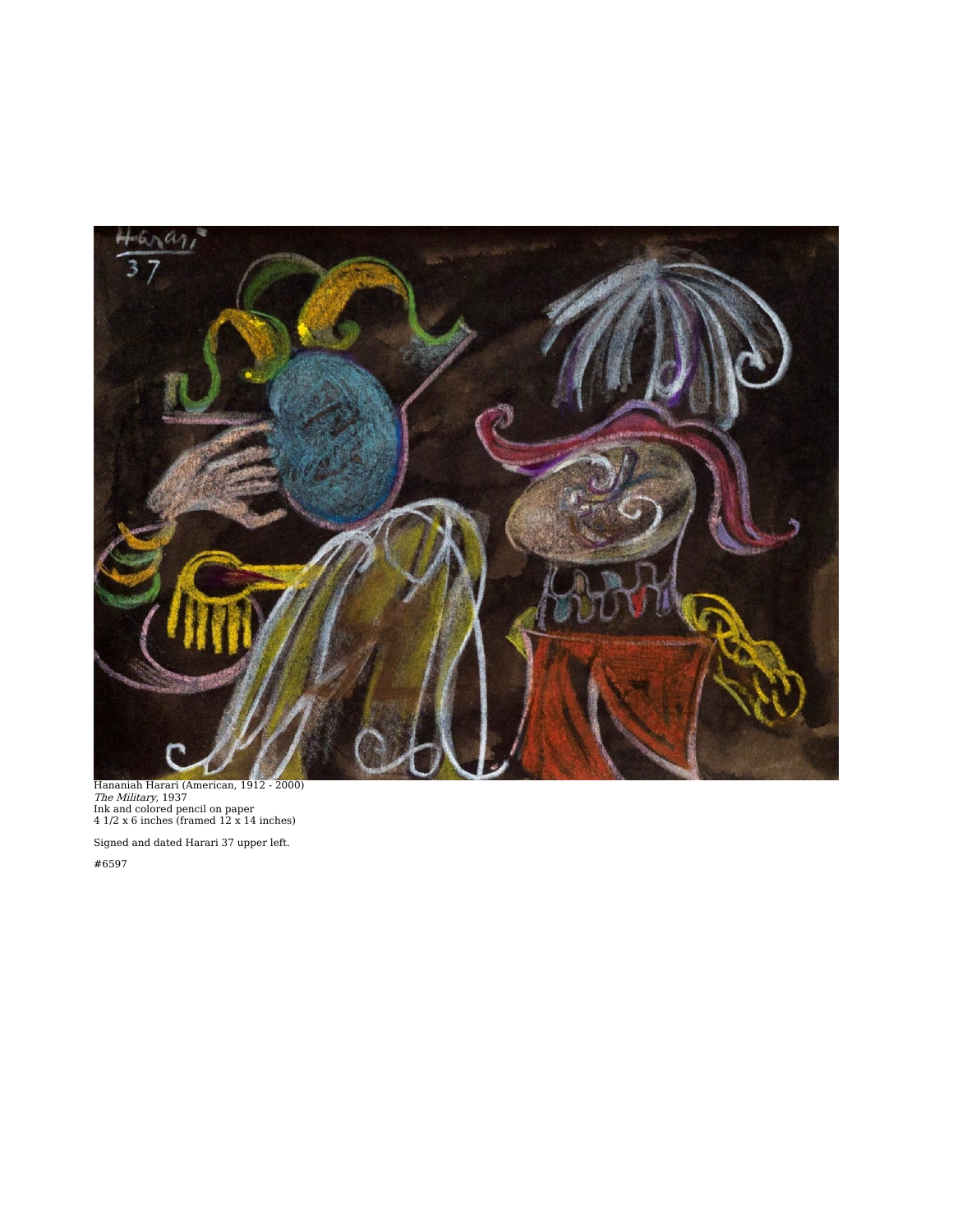

Hananiah Harari (American, 1912 - 2000)<br>*The Military*, 1937<br>Ink and colored pencil on paper<br>4 1/2 x 6 inches (framed 12 x 14 inches)

Signed and dated Harari 37 upper left.

#6597